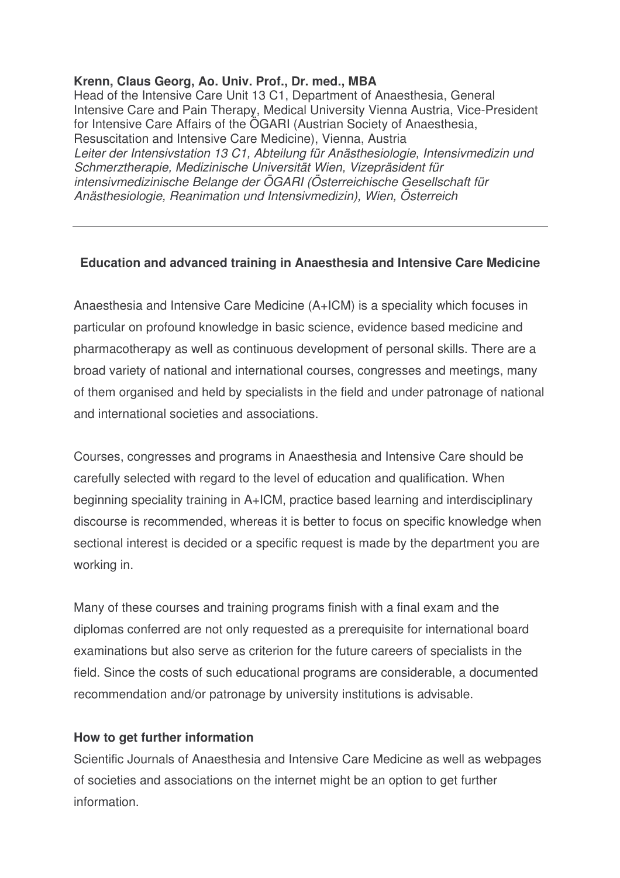## **Krenn, Claus Georg, Ao. Univ. Prof., Dr. med., MBA**

Head of the Intensive Care Unit 13 C1, Department of Anaesthesia, General Intensive Care and Pain Therapy, Medical University Vienna Austria, Vice-President for Intensive Care Affairs of the ÖGARI (Austrian Society of Anaesthesia, Resuscitation and Intensive Care Medicine), Vienna, Austria *Leiter der Intensivstation 13 C1, Abteilung für Anästhesiologie, Intensivmedizin und Schmerztherapie, Medizinische Universität Wien, Vizepräsident für intensivmedizinische Belange der ÖGARI (Österreichische Gesellschaft für Anästhesiologie, Reanimation und Intensivmedizin), Wien, Österreich*

## **Education and advanced training in Anaesthesia and Intensive Care Medicine**

Anaesthesia and Intensive Care Medicine (A+ICM) is a speciality which focuses in particular on profound knowledge in basic science, evidence based medicine and pharmacotherapy as well as continuous development of personal skills. There are a broad variety of national and international courses, congresses and meetings, many of them organised and held by specialists in the field and under patronage of national and international societies and associations.

Courses, congresses and programs in Anaesthesia and Intensive Care should be carefully selected with regard to the level of education and qualification. When beginning speciality training in A+ICM, practice based learning and interdisciplinary discourse is recommended, whereas it is better to focus on specific knowledge when sectional interest is decided or a specific request is made by the department you are working in.

Many of these courses and training programs finish with a final exam and the diplomas conferred are not only requested as a prerequisite for international board examinations but also serve as criterion for the future careers of specialists in the field. Since the costs of such educational programs are considerable, a documented recommendation and/or patronage by university institutions is advisable.

## **How to get further information**

Scientific Journals of Anaesthesia and Intensive Care Medicine as well as webpages of societies and associations on the internet might be an option to get further information.